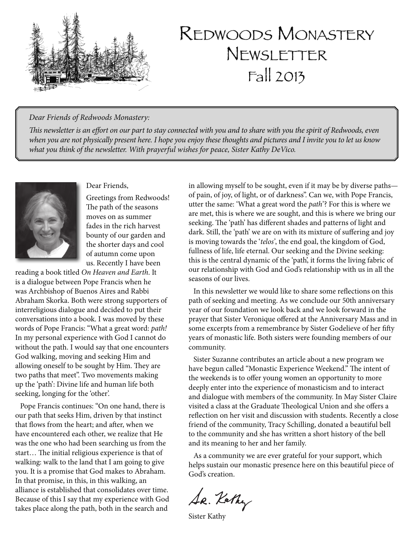

# Redwoods Monastery **NEWSLETTER** Fall 2013

#### *Dear Friends of Redwoods Monastery:*

*This newsletter is an effort on our part to stay connected with you and to share with you the spirit of Redwoods, even when you are not physically present here. I hope you enjoy these thoughts and pictures and I invite you to let us know what you think of the newsletter. With prayerful wishes for peace, Sister Kathy DeVico.*



Dear Friends,

Greetings from Redwoods! The path of the seasons moves on as summer fades in the rich harvest bounty of our garden and the shorter days and cool of autumn come upon us. Recently I have been

reading a book titled *On Heaven and Earth*. It is a dialogue between Pope Francis when he was Archbishop of Buenos Aires and Rabbi Abraham Skorka. Both were strong supporters of interreligious dialogue and decided to put their conversations into a book. I was moved by these words of Pope Francis: "What a great word: *path!* In my personal experience with God I cannot do without the path. I would say that one encounters God walking, moving and seeking Him and allowing oneself to be sought by Him. They are two paths that meet". Two movements making up the 'path': Divine life and human life both seeking, longing for the 'other'.

Pope Francis continues: "On one hand, there is our path that seeks Him, driven by that instinct that flows from the heart; and after, when we have encountered each other, we realize that He was the one who had been searching us from the start… The initial religious experience is that of walking: walk to the land that I am going to give you. It is a promise that God makes to Abraham. In that promise, in this, in this walking, an alliance is established that consolidates over time. Because of this I say that my experience with God takes place along the path, both in the search and

in allowing myself to be sought, even if it may be by diverse paths of pain, of joy, of light, or of darkness". Can we, with Pope Francis, utter the same: 'What a great word the *path*'? For this is where we are met, this is where we are sought, and this is where we bring our seeking. The 'path' has different shades and patterns of light and dark. Still, the 'path' we are on with its mixture of suffering and joy is moving towards the '*telos'*, the end goal, the kingdom of God, fullness of life, life eternal. Our seeking and the Divine seeking: this is the central dynamic of the 'path', it forms the living fabric of our relationship with God and God's relationship with us in all the seasons of our lives.

In this newsletter we would like to share some reflections on this path of seeking and meeting. As we conclude our 50th anniversary year of our foundation we look back and we look forward in the prayer that Sister Veronique offered at the Anniversary Mass and in some excerpts from a remembrance by Sister Godelieve of her fifty years of monastic life. Both sisters were founding members of our community.

Sister Suzanne contributes an article about a new program we have begun called "Monastic Experience Weekend." The intent of the weekends is to offer young women an opportunity to more deeply enter into the experience of monasticism and to interact and dialogue with members of the community. In May Sister Claire visited a class at the Graduate Theological Union and she offers a reflection on her visit and discussion with students. Recently a close friend of the community, Tracy Schilling, donated a beautiful bell to the community and she has written a short history of the bell and its meaning to her and her family.

As a community we are ever grateful for your support, which helps sustain our monastic presence here on this beautiful piece of God's creation.

Se. Kethy

Sister Kathy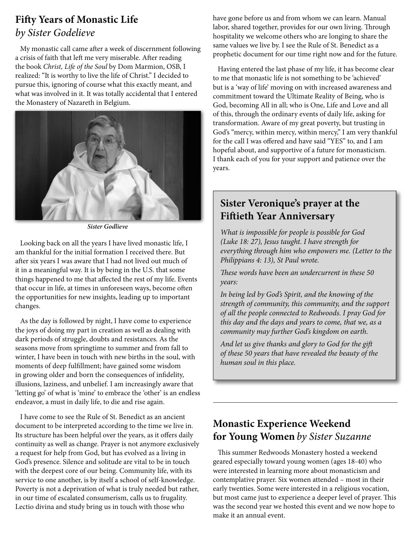# **Fifty Years of Monastic Life** *by Sister Godelieve*

My monastic call came after a week of discernment following a crisis of faith that left me very miserable. After reading the book *Christ, Life of the Soul* by Dom Marmion, OSB, I realized: "It is worthy to live the life of Christ." I decided to pursue this, ignoring of course what this exactly meant, and what was involved in it. It was totally accidental that I entered the Monastery of Nazareth in Belgium.



*Sister Godlieve*

Looking back on all the years I have lived monastic life, I am thankful for the initial formation I received there. But after six years I was aware that I had not lived out much of it in a meaningful way. It is by being in the U.S. that some things happened to me that affected the rest of my life. Events that occur in life, at times in unforeseen ways, become often the opportunities for new insights, leading up to important changes.

As the day is followed by night, I have come to experience the joys of doing my part in creation as well as dealing with dark periods of struggle, doubts and resistances. As the seasons move from springtime to summer and from fall to winter, I have been in touch with new births in the soul, with moments of deep fulfillment; have gained some wisdom in growing older and born the consequences of infidelity, illusions, laziness, and unbelief. I am increasingly aware that 'letting go' of what is 'mine' to embrace the 'other' is an endless endeavor, a must in daily life, to die and rise again.

I have come to see the Rule of St. Benedict as an ancient document to be interpreted according to the time we live in. Its structure has been helpful over the years, as it offers daily continuity as well as change. Prayer is not anymore exclusively a request for help from God, but has evolved as a living in God's presence. Silence and solitude are vital to be in touch with the deepest core of our being. Community life, with its service to one another, is by itself a school of self-knowledge. Poverty is not a deprivation of what is truly needed but rather, in our time of escalated consumerism, calls us to frugality. Lectio divina and study bring us in touch with those who

have gone before us and from whom we can learn. Manual labor, shared together, provides for our own living. Through hospitality we welcome others who are longing to share the same values we live by. I see the Rule of St. Benedict as a prophetic document for our time right now and for the future.

Having entered the last phase of my life, it has become clear to me that monastic life is not something to be 'achieved' but is a 'way of life' moving on with increased awareness and commitment toward the Ultimate Reality of Being, who is God, becoming All in all; who is One, Life and Love and all of this, through the ordinary events of daily life, asking for transformation. Aware of my great poverty, but trusting in God's "mercy, within mercy, within mercy," I am very thankful for the call I was offered and have said "YES" to, and I am hopeful about, and supportive of a future for monasticism. I thank each of you for your support and patience over the years.

### **Sister Veronique's prayer at the Fiftieth Year Anniversary**

*What is impossible for people is possible for God (Luke 18: 27), Jesus taught. I have strength for everything through him who empowers me. (Letter to the Philippians 4: 13), St Paul wrote.*

*These words have been an undercurrent in these 50 years:*

*In being led by God's Spirit, and the knowing of the strength of community, this community, and the support of all the people connected to Redwoods. I pray God for this day and the days and years to come, that we, as a community may further God's kingdom on earth.*

*And let us give thanks and glory to God for the gift of these 50 years that have revealed the beauty of the human soul in this place.*

### **Monastic Experience Weekend for Young Women** *by Sister Suzanne*

This summer Redwoods Monastery hosted a weekend geared especially toward young women (ages 18-40) who were interested in learning more about monasticism and contemplative prayer. Six women attended – most in their early twenties. Some were interested in a religious vocation, but most came just to experience a deeper level of prayer. This was the second year we hosted this event and we now hope to make it an annual event.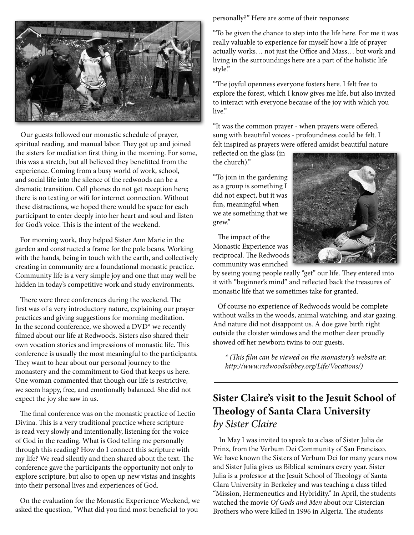

Our guests followed our monastic schedule of prayer, spiritual reading, and manual labor. They got up and joined the sisters for mediation first thing in the morning. For some, this was a stretch, but all believed they benefitted from the experience. Coming from a busy world of work, school, and social life into the silence of the redwoods can be a dramatic transition. Cell phones do not get reception here; there is no texting or wifi for internet connection. Without these distractions, we hoped there would be space for each participant to enter deeply into her heart and soul and listen for God's voice. This is the intent of the weekend.

For morning work, they helped Sister Ann Marie in the garden and constructed a frame for the pole beans. Working with the hands, being in touch with the earth, and collectively creating in community are a foundational monastic practice. Community life is a very simple joy and one that may well be hidden in today's competitive work and study environments.

There were three conferences during the weekend. The first was of a very introductory nature, explaining our prayer practices and giving suggestions for morning meditation. In the second conference, we showed a DVD\* we recently filmed about our life at Redwoods. Sisters also shared their own vocation stories and impressions of monastic life. This conference is usually the most meaningful to the participants. They want to hear about our personal journey to the monastery and the commitment to God that keeps us here. One woman commented that though our life is restrictive, we seem happy, free, and emotionally balanced. She did not expect the joy she saw in us.

The final conference was on the monastic practice of Lectio Divina. This is a very traditional practice where scripture is read very slowly and intentionally, listening for the voice of God in the reading. What is God telling me personally through this reading? How do I connect this scripture with my life? We read silently and then shared about the text. The conference gave the participants the opportunity not only to explore scripture, but also to open up new vistas and insights into their personal lives and experiences of God.

On the evaluation for the Monastic Experience Weekend, we asked the question, "What did you find most beneficial to you

personally?" Here are some of their responses:

"To be given the chance to step into the life here. For me it was really valuable to experience for myself how a life of prayer actually works… not just the Office and Mass… but work and living in the surroundings here are a part of the holistic life style."

"The joyful openness everyone fosters here. I felt free to explore the forest, which I know gives me life, but also invited to interact with everyone because of the joy with which you live."

"It was the common prayer - when prayers were offered, sung with beautiful voices - profoundness could be felt. I felt inspired as prayers were offered amidst beautiful nature

reflected on the glass (in the church)."

"To join in the gardening as a group is something I did not expect, but it was fun, meaningful when we ate something that we grew."

The impact of the Monastic Experience was reciprocal. The Redwoods community was enriched



by seeing young people really "get" our life. They entered into it with "beginner's mind" and reflected back the treasures of monastic life that we sometimes take for granted.

Of course no experience of Redwoods would be complete without walks in the woods, animal watching, and star gazing. And nature did not disappoint us. A doe gave birth right outside the cloister windows and the mother deer proudly showed off her newborn twins to our guests.

*\* (This film can be viewed on the monastery's website at: http://www.redwoodsabbey.org/Life/Vocations/)*

# **Sister Claire's visit to the Jesuit School of Theology of Santa Clara University** *by Sister Claire*

In May I was invited to speak to a class of Sister Julia de Prinz, from the Verbum Dei Community of San Francisco. We have known the Sisters of Verbum Dei for many years now and Sister Julia gives us Biblical seminars every year. Sister Julia is a professor at the Jesuit School of Theology of Santa Clara University in Berkeley and was teaching a class titled "Mission, Hermeneutics and Hybridity." In April, the students watched the movie *Of Gods and Men* about our Cistercian Brothers who were killed in 1996 in Algeria. The students